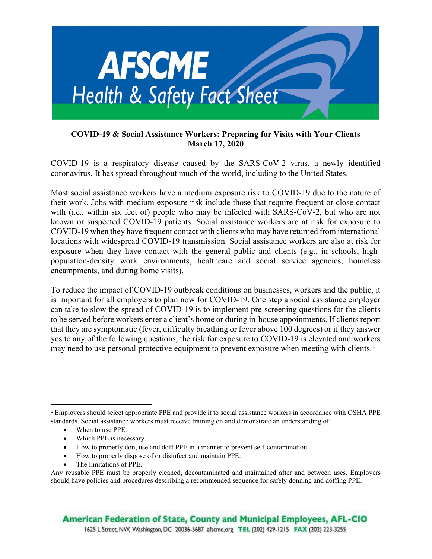

## COVID-19 & Social Assistance Workers: Preparing for Visits with Your Clients March 17, 2020

COVID-19 is a respiratory disease caused by the SARS-CoV-2 virus, a newly identified coronavirus. It has spread throughout much of the world, including to the United States.

Most social assistance workers have a medium exposure risk to COVID-19 due to the nature of their work. Jobs with medium exposure risk include those that require frequent or close contact with (i.e., within six feet of) people who may be infected with SARS-CoV-2, but who are not known or suspected COVID-19 patients. Social assistance workers are at risk for exposure to COVID-19 when they have frequent contact with clients who may have returned from international locations with widespread COVID-19 transmission. Social assistance workers are also at risk for exposure when they have contact with the general public and clients (e.g., in schools, highpopulation-density work environments, healthcare and social service agencies, homeless encampments, and during home visits).

To reduce the impact of COVID-19 outbreak conditions on businesses, workers and the public, it is important for all employers to plan now for COVID-19. One step a social assistance employer can take to slow the spread of COVID-19 is to implement pre-screening questions for the clients to be served before workers enter a client's home or during in-house appointments. If clients report that they are symptomatic (fever, difficulty breathing or fever above 100 degrees) or if they answer yes to any of the following questions, the risk for exposure to COVID-19 is elevated and workers may need to use personal protective equipment to prevent exposure when meeting with clients.<sup>1</sup>

- How to properly don, use and doff PPE in a manner to prevent self-contamination.
- How to properly dispose of or disinfect and maintain PPE.
- The limitations of PPE.

<sup>1</sup> Employers should select appropriate PPE and provide it to social assistance workers in accordance with OSHA PPE standards. Social assistance workers must receive training on and demonstrate an understanding of:

<sup>•</sup> When to use PPE.

Which PPE is necessary.

Any reusable PPE must be properly cleaned, decontaminated and maintained after and between uses. Employers should have policies and procedures describing a recommended sequence for safely donning and doffing PPE.